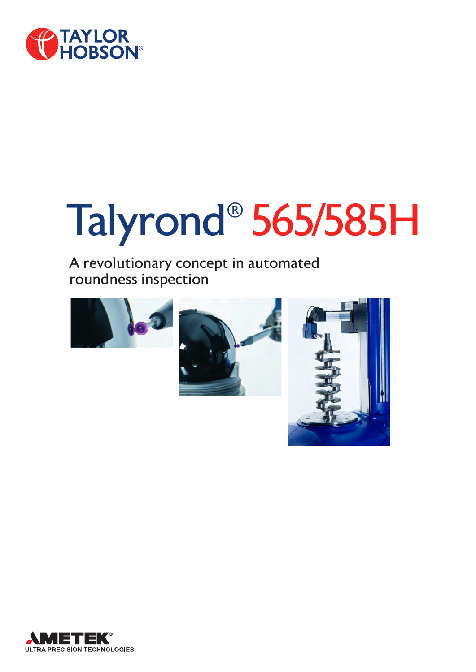

# Talyrond® 565/585H

### A revolutionary concept in automated roundness inspection







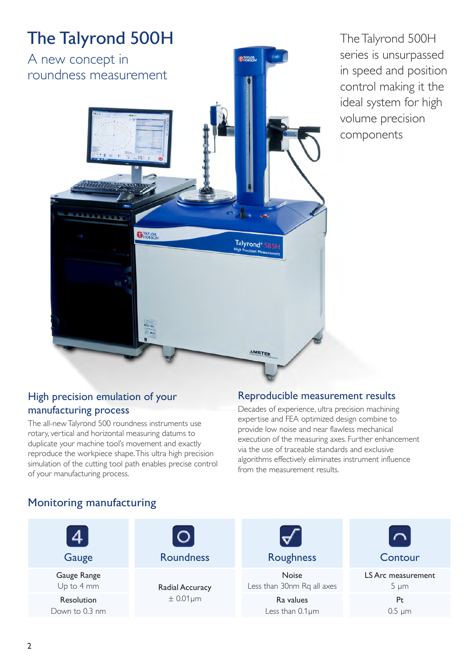

The Talyrond 500H series is unsurpassed in speed and position control making it the ideal system for high volume precision components

#### High precision emulation of your manufacturing process

The all-new Talyrond 500 roundness instruments use rotary, vertical and horizontal measuring datums to duplicate your machine tool's movement and exactly reproduce the workpiece shape. This ultra high precision simulation of the cutting tool path enables precise control of your manufacturing process.

#### Reproducible measurement results

Decades of experience, ultra precision machining expertise and FEA optimized design combine to provide low noise and near flawless mechanical execution of the measuring axes. Further enhancement via the use of traceable standards and exclusive algorithms effectively eliminates instrument influence from the measurement results.

#### Monitoring manufacturing